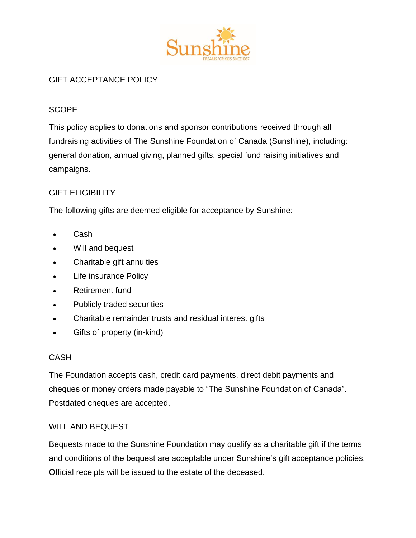

# GIFT ACCEPTANCE POLICY

## **SCOPE**

This policy applies to donations and sponsor contributions received through all fundraising activities of The Sunshine Foundation of Canada (Sunshine), including: general donation, annual giving, planned gifts, special fund raising initiatives and campaigns.

### GIFT ELIGIBILITY

The following gifts are deemed eligible for acceptance by Sunshine:

- Cash
- Will and bequest
- Charitable gift annuities
- Life insurance Policy
- Retirement fund
- Publicly traded securities
- Charitable remainder trusts and residual interest gifts
- Gifts of property (in-kind)

#### CASH

The Foundation accepts cash, credit card payments, direct debit payments and cheques or money orders made payable to "The Sunshine Foundation of Canada". Postdated cheques are accepted.

#### WILL AND BEQUEST

Bequests made to the Sunshine Foundation may qualify as a charitable gift if the terms and conditions of the bequest are acceptable under Sunshine's gift acceptance policies. Official receipts will be issued to the estate of the deceased.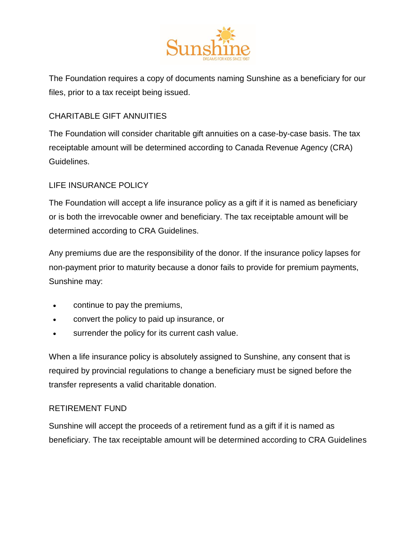

The Foundation requires a copy of documents naming Sunshine as a beneficiary for our files, prior to a tax receipt being issued.

## CHARITABLE GIFT ANNUITIES

The Foundation will consider charitable gift annuities on a case-by-case basis. The tax receiptable amount will be determined according to Canada Revenue Agency (CRA) Guidelines.

### LIFE INSURANCE POLICY

The Foundation will accept a life insurance policy as a gift if it is named as beneficiary or is both the irrevocable owner and beneficiary. The tax receiptable amount will be determined according to CRA Guidelines.

Any premiums due are the responsibility of the donor. If the insurance policy lapses for non-payment prior to maturity because a donor fails to provide for premium payments, Sunshine may:

- continue to pay the premiums,
- convert the policy to paid up insurance, or
- surrender the policy for its current cash value.

When a life insurance policy is absolutely assigned to Sunshine, any consent that is required by provincial regulations to change a beneficiary must be signed before the transfer represents a valid charitable donation.

#### RETIREMENT FUND

Sunshine will accept the proceeds of a retirement fund as a gift if it is named as beneficiary. The tax receiptable amount will be determined according to CRA Guidelines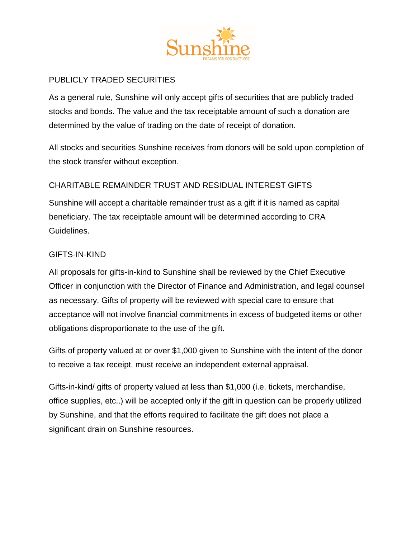

# PUBLICLY TRADED SECURITIES

As a general rule, Sunshine will only accept gifts of securities that are publicly traded stocks and bonds. The value and the tax receiptable amount of such a donation are determined by the value of trading on the date of receipt of donation.

All stocks and securities Sunshine receives from donors will be sold upon completion of the stock transfer without exception.

# CHARITABLE REMAINDER TRUST AND RESIDUAL INTEREST GIFTS

Sunshine will accept a charitable remainder trust as a gift if it is named as capital beneficiary. The tax receiptable amount will be determined according to CRA Guidelines.

#### GIFTS-IN-KIND

All proposals for gifts-in-kind to Sunshine shall be reviewed by the Chief Executive Officer in conjunction with the Director of Finance and Administration, and legal counsel as necessary. Gifts of property will be reviewed with special care to ensure that acceptance will not involve financial commitments in excess of budgeted items or other obligations disproportionate to the use of the gift.

Gifts of property valued at or over \$1,000 given to Sunshine with the intent of the donor to receive a tax receipt, must receive an independent external appraisal.

Gifts-in-kind/ gifts of property valued at less than \$1,000 (i.e. tickets, merchandise, office supplies, etc..) will be accepted only if the gift in question can be properly utilized by Sunshine, and that the efforts required to facilitate the gift does not place a significant drain on Sunshine resources.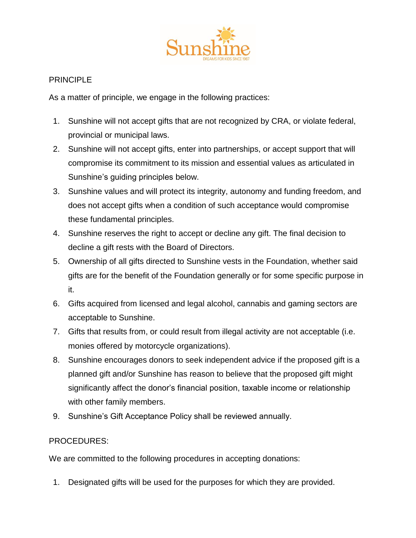

### **PRINCIPLE**

As a matter of principle, we engage in the following practices:

- 1. Sunshine will not accept gifts that are not recognized by CRA, or violate federal, provincial or municipal laws.
- 2. Sunshine will not accept gifts, enter into partnerships, or accept support that will compromise its commitment to its mission and essential values as articulated in Sunshine's guiding principles below.
- 3. Sunshine values and will protect its integrity, autonomy and funding freedom, and does not accept gifts when a condition of such acceptance would compromise these fundamental principles.
- 4. Sunshine reserves the right to accept or decline any gift. The final decision to decline a gift rests with the Board of Directors.
- 5. Ownership of all gifts directed to Sunshine vests in the Foundation, whether said gifts are for the benefit of the Foundation generally or for some specific purpose in it.
- 6. Gifts acquired from licensed and legal alcohol, cannabis and gaming sectors are acceptable to Sunshine.
- 7. Gifts that results from, or could result from illegal activity are not acceptable (i.e. monies offered by motorcycle organizations).
- 8. Sunshine encourages donors to seek independent advice if the proposed gift is a planned gift and/or Sunshine has reason to believe that the proposed gift might significantly affect the donor's financial position, taxable income or relationship with other family members.
- 9. Sunshine's Gift Acceptance Policy shall be reviewed annually.

#### PROCEDURES:

We are committed to the following procedures in accepting donations:

1. Designated gifts will be used for the purposes for which they are provided.